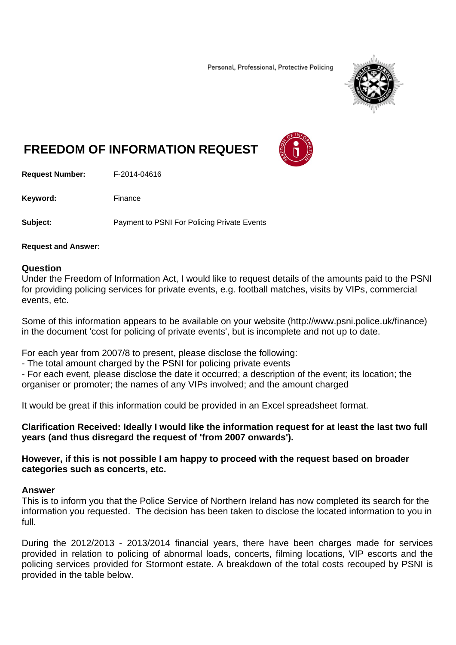Personal, Professional, Protective Policing



## **FREEDOM OF INFORMATION REQUEST**



**Request Number:** F-2014-04616

Keyword: Finance

**Subject:** Payment to PSNI For Policing Private Events

## **Request and Answer:**

## **Question**

Under the Freedom of Information Act, I would like to request details of the amounts paid to the PSNI for providing policing services for private events, e.g. football matches, visits by VIPs, commercial events, etc.

Some of this information appears to be available on your website (http://www.psni.police.uk/finance) in the document 'cost for policing of private events', but is incomplete and not up to date.

For each year from 2007/8 to present, please disclose the following:

- The total amount charged by the PSNI for policing private events

- For each event, please disclose the date it occurred; a description of the event; its location; the organiser or promoter; the names of any VIPs involved; and the amount charged

It would be great if this information could be provided in an Excel spreadsheet format.

**Clarification Received: Ideally I would like the information request for at least the last two full years (and thus disregard the request of 'from 2007 onwards').** 

**However, if this is not possible I am happy to proceed with the request based on broader categories such as concerts, etc.** 

## **Answer**

This is to inform you that the Police Service of Northern Ireland has now completed its search for the information you requested. The decision has been taken to disclose the located information to you in full.

During the 2012/2013 - 2013/2014 financial years, there have been charges made for services provided in relation to policing of abnormal loads, concerts, filming locations, VIP escorts and the policing services provided for Stormont estate. A breakdown of the total costs recouped by PSNI is provided in the table below.